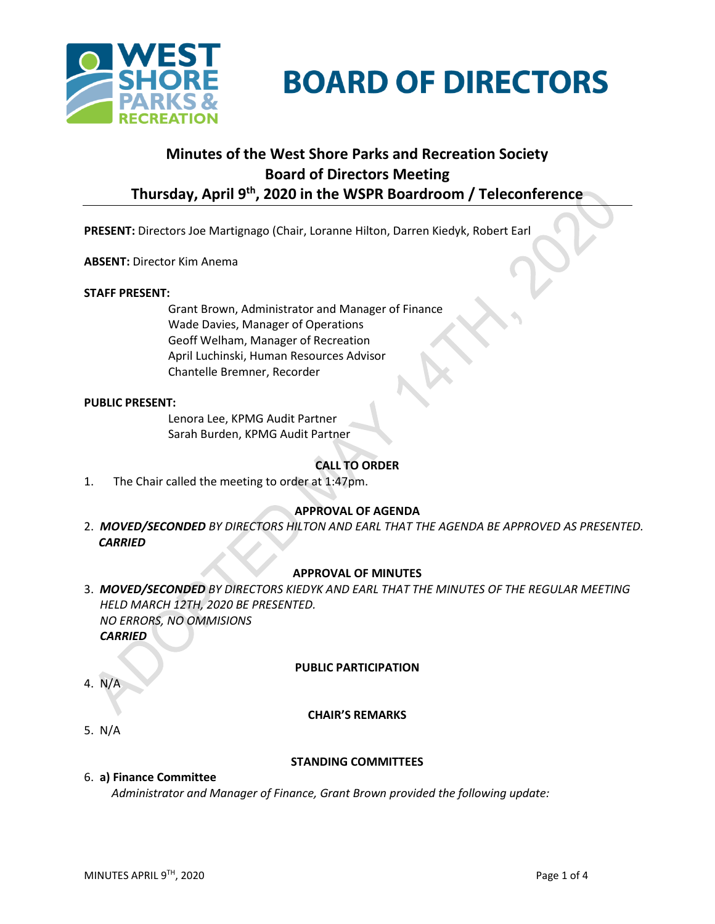



# **Minutes of the West Shore Parks and Recreation Society Board of Directors Meeting Thursday, April 9th , 2020 in the WSPR Boardroom / Teleconference**

**PRESENT:** Directors Joe Martignago (Chair, Loranne Hilton, Darren Kiedyk, Robert Earl

#### **ABSENT:** Director Kim Anema

#### **STAFF PRESENT:**

Grant Brown, Administrator and Manager of Finance Wade Davies, Manager of Operations Geoff Welham, Manager of Recreation April Luchinski, Human Resources Advisor Chantelle Bremner, Recorder

#### **PUBLIC PRESENT:**

Lenora Lee, KPMG Audit Partner Sarah Burden, KPMG Audit Partner

## **CALL TO ORDER**

1. The Chair called the meeting to order at 1:47pm.

#### **APPROVAL OF AGENDA**

2. *MOVED/SECONDED BY DIRECTORS HILTON AND EARL THAT THE AGENDA BE APPROVED AS PRESENTED. CARRIED*

#### **APPROVAL OF MINUTES**

3. *MOVED/SECONDED BY DIRECTORS KIEDYK AND EARL THAT THE MINUTES OF THE REGULAR MEETING HELD MARCH 12TH, 2020 BE PRESENTED. NO ERRORS, NO OMMISIONS CARRIED*

#### **PUBLIC PARTICIPATION**

4. N/A

#### **CHAIR'S REMARKS**

5. N/A

#### **STANDING COMMITTEES**

#### 6. **a) Finance Committee**

*Administrator and Manager of Finance, Grant Brown provided the following update:*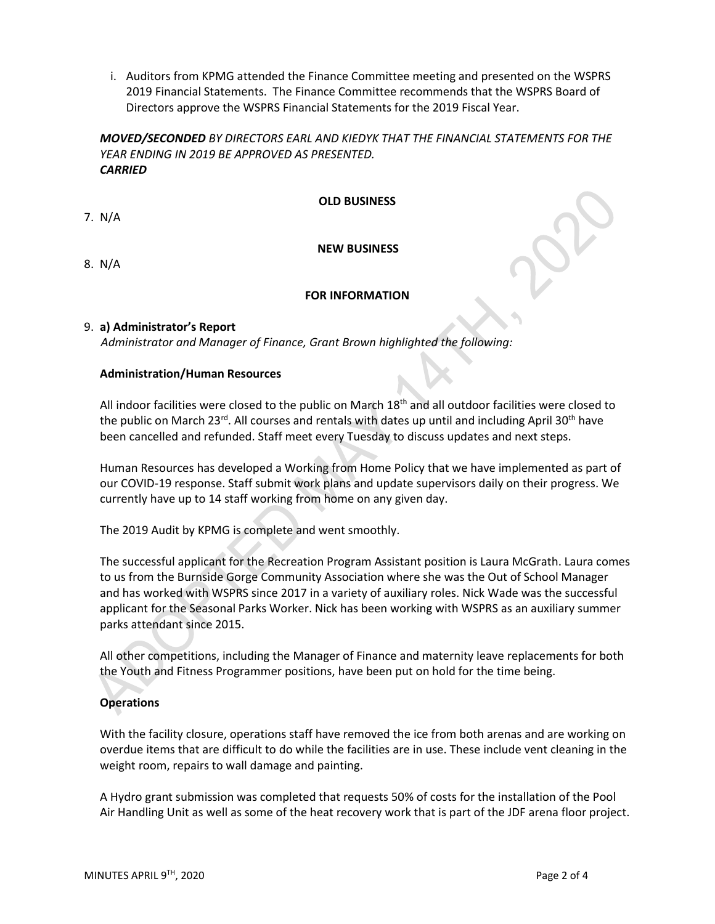i. Auditors from KPMG attended the Finance Committee meeting and presented on the WSPRS 2019 Financial Statements. The Finance Committee recommends that the WSPRS Board of Directors approve the WSPRS Financial Statements for the 2019 Fiscal Year.

## *MOVED/SECONDED BY DIRECTORS EARL AND KIEDYK THAT THE FINANCIAL STATEMENTS FOR THE YEAR ENDING IN 2019 BE APPROVED AS PRESENTED. CARRIED*

**OLD BUSINESS**

7. N/A

#### **NEW BUSINESS**

8.N/A

#### **FOR INFORMATION**

#### 9. **a) Administrator's Report**

*Administrator and Manager of Finance, Grant Brown highlighted the following:*

#### **Administration/Human Resources**

All indoor facilities were closed to the public on March 18<sup>th</sup> and all outdoor facilities were closed to the public on March 23<sup>rd</sup>. All courses and rentals with dates up until and including April 30<sup>th</sup> have been cancelled and refunded. Staff meet every Tuesday to discuss updates and next steps.

Human Resources has developed a Working from Home Policy that we have implemented as part of our COVID-19 response. Staff submit work plans and update supervisors daily on their progress. We currently have up to 14 staff working from home on any given day.

The 2019 Audit by KPMG is complete and went smoothly.

The successful applicant for the Recreation Program Assistant position is Laura McGrath. Laura comes to us from the Burnside Gorge Community Association where she was the Out of School Manager and has worked with WSPRS since 2017 in a variety of auxiliary roles. Nick Wade was the successful applicant for the Seasonal Parks Worker. Nick has been working with WSPRS as an auxiliary summer parks attendant since 2015.

All other competitions, including the Manager of Finance and maternity leave replacements for both the Youth and Fitness Programmer positions, have been put on hold for the time being.

## **Operations**

With the facility closure, operations staff have removed the ice from both arenas and are working on overdue items that are difficult to do while the facilities are in use. These include vent cleaning in the weight room, repairs to wall damage and painting.

A Hydro grant submission was completed that requests 50% of costs for the installation of the Pool Air Handling Unit as well as some of the heat recovery work that is part of the JDF arena floor project.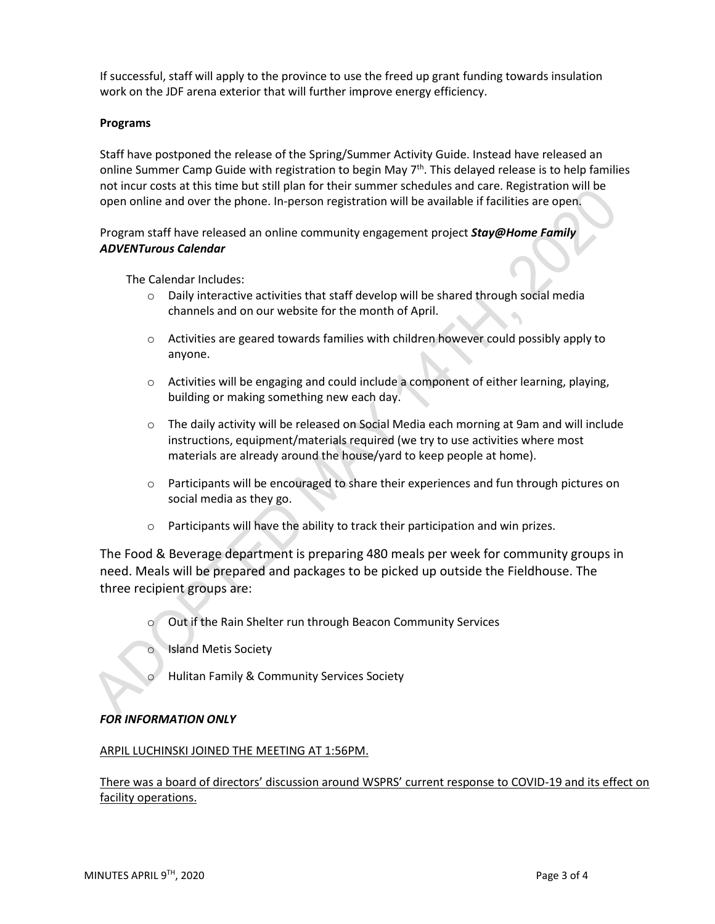If successful, staff will apply to the province to use the freed up grant funding towards insulation work on the JDF arena exterior that will further improve energy efficiency.

#### **Programs**

Staff have postponed the release of the Spring/Summer Activity Guide. Instead have released an online Summer Camp Guide with registration to begin May  $7<sup>th</sup>$ . This delayed release is to help families not incur costs at this time but still plan for their summer schedules and care. Registration will be open online and over the phone. In-person registration will be available if facilities are open.

Program staff have released an online community engagement project *Stay@Home Family ADVENTurous Calendar*

The Calendar Includes:

- $\circ$  Daily interactive activities that staff develop will be shared through social media channels and on our website for the month of April.
- $\circ$  Activities are geared towards families with children however could possibly apply to anyone.
- $\circ$  Activities will be engaging and could include a component of either learning, playing, building or making something new each day.
- $\circ$  The daily activity will be released on Social Media each morning at 9am and will include instructions, equipment/materials required (we try to use activities where most materials are already around the house/yard to keep people at home).
- $\circ$  Participants will be encouraged to share their experiences and fun through pictures on social media as they go.
- o Participants will have the ability to track their participation and win prizes.

The Food & Beverage department is preparing 480 meals per week for community groups in need. Meals will be prepared and packages to be picked up outside the Fieldhouse. The three recipient groups are:

- o Out if the Rain Shelter run through Beacon Community Services
- o Island Metis Society
- Hulitan Family & Community Services Society

## *FOR INFORMATION ONLY*

#### ARPIL LUCHINSKI JOINED THE MEETING AT 1:56PM.

There was a board of directors' discussion around WSPRS' current response to COVID-19 and its effect on facility operations.